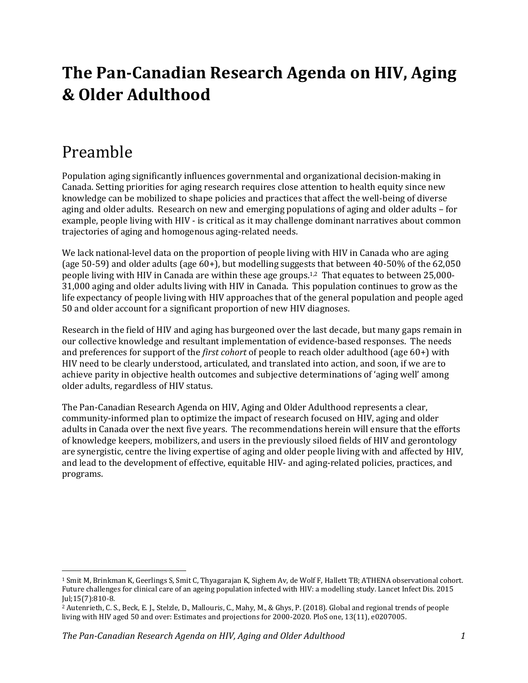### **The Pan-Canadian Research Agenda on HIV, Aging & Older Adulthood**

#### Preamble

Population aging significantly influences governmental and organizational decision-making in Canada. Setting priorities for aging research requires close attention to health equity since new knowledge can be mobilized to shape policies and practices that affect the well-being of diverse aging and older adults. Research on new and emerging populations of aging and older adults – for example, people living with HIV - is critical as it may challenge dominant narratives about common trajectories of aging and homogenous aging-related needs.

We lack national-level data on the proportion of people living with HIV in Canada who are aging (age 50-59) and older adults (age 60+), but modelling suggests that between 40-50% of the 62,050 people living with HIV in Canada are within these age groups. 1,2 That equates to between 25,000- 31,000 aging and older adults living with HIV in Canada. This population continues to grow as the life expectancy of people living with HIV approaches that of the general population and people aged 50 and older account for a significant proportion of new HIV diagnoses.

Research in the field of HIV and aging has burgeoned over the last decade, but many gaps remain in our collective knowledge and resultant implementation of evidence-based responses. The needs and preferences for support of the *first cohort* of people to reach older adulthood (age 60+) with HIV need to be clearly understood, articulated, and translated into action, and soon, if we are to achieve parity in objective health outcomes and subjective determinations of 'aging well' among older adults, regardless of HIV status.

The Pan-Canadian Research Agenda on HIV, Aging and Older Adulthood represents a clear, community-informed plan to optimize the impact of research focused on HIV, aging and older adults in Canada over the next five years. The recommendations herein will ensure that the efforts of knowledge keepers, mobilizers, and users in the previously siloed fields of HIV and gerontology are synergistic, centre the living expertise of aging and older people living with and affected by HIV, and lead to the development of effective, equitable HIV- and aging-related policies, practices, and programs.

<sup>1</sup> Smit M, Brinkman K, Geerlings S, Smit C, Thyagarajan K, Sighem Av, de Wolf F, Hallett TB; ATHENA observational cohort. Future challenges for clinical care of an ageing population infected with HIV: a modelling study. Lancet Infect Dis. 2015 Jul;15(7):810-8.

<sup>2</sup> Autenrieth, C. S., Beck, E. J., Stelzle, D., Mallouris, C., Mahy, M., & Ghys, P. (2018). Global and regional trends of people living with HIV aged 50 and over: Estimates and projections for 2000-2020. PloS one, 13(11), e0207005.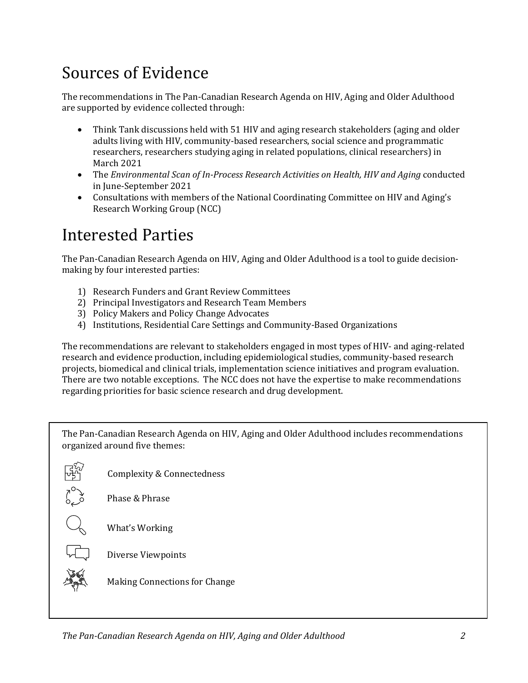### Sources of Evidence

The recommendations in The Pan-Canadian Research Agenda on HIV, Aging and Older Adulthood are supported by evidence collected through:

- Think Tank discussions held with 51 HIV and aging research stakeholders (aging and older adults living with HIV, community-based researchers, social science and programmatic researchers, researchers studying aging in related populations, clinical researchers) in March 2021
- The *Environmental Scan of In-Process Research Activities on Health, HIV and <i>Aging* conducted in June-September 2021
- Consultations with members of the National Coordinating Committee on HIV and Aging's Research Working Group (NCC)

### Interested Parties

The Pan-Canadian Research Agenda on HIV, Aging and Older Adulthood is a tool to guide decisionmaking by four interested parties:

- 1) Research Funders and Grant Review Committees
- 2) Principal Investigators and Research Team Members
- 3) Policy Makers and Policy Change Advocates
- 4) Institutions, Residential Care Settings and Community-Based Organizations

The recommendations are relevant to stakeholders engaged in most types of HIV- and aging-related research and evidence production, including epidemiological studies, community-based research projects, biomedical and clinical trials, implementation science initiatives and program evaluation. There are two notable exceptions. The NCC does not have the expertise to make recommendations regarding priorities for basic science research and drug development.

The Pan-Canadian Research Agenda on HIV, Aging and Older Adulthood includes recommendations organized around five themes:



Phase & Phrase

What's Working



Diverse Viewpoints

Making Connections for Change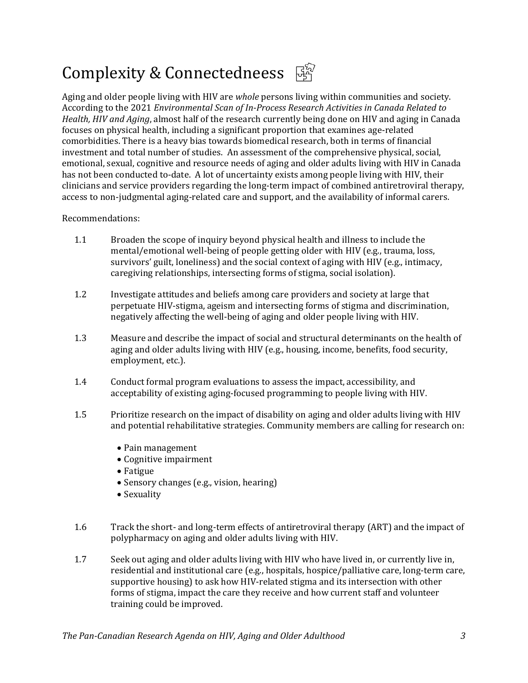### Complexity & Connectedneess  $\mathbb{F}_1^{\mathbb{S}_2}$

Aging and older people living with HIV are *whole* persons living within communities and society. According to the 2021 *Environmental Scan of In-Process Research Activities in Canada Related to Health, HIV and Aging*, almost half of the research currently being done on HIV and aging in Canada focuses on physical health, including a significant proportion that examines age-related comorbidities. There is a heavy bias towards biomedical research, both in terms of financial investment and total number of studies. An assessment of the comprehensive physical, social, emotional, sexual, cognitive and resource needs of aging and older adults living with HIV in Canada has not been conducted to-date. A lot of uncertainty exists among people living with HIV, their clinicians and service providers regarding the long-term impact of combined antiretroviral therapy, access to non-judgmental aging-related care and support, and the availability of informal carers.

#### Recommendations:

- 1.1 Broaden the scope of inquiry beyond physical health and illness to include the mental/emotional well-being of people getting older with HIV (e.g., trauma, loss, survivors' guilt, loneliness) and the social context of aging with HIV (e.g., intimacy, caregiving relationships, intersecting forms of stigma, social isolation).
- 1.2 Investigate attitudes and beliefs among care providers and society at large that perpetuate HIV-stigma, ageism and intersecting forms of stigma and discrimination, negatively affecting the well-being of aging and older people living with HIV.
- 1.3 Measure and describe the impact of social and structural determinants on the health of aging and older adults living with HIV (e.g., housing, income, benefits, food security, employment, etc.).
- 1.4 Conduct formal program evaluations to assess the impact, accessibility, and acceptability of existing aging-focused programming to people living with HIV.
- 1.5 Prioritize research on the impact of disability on aging and older adults living with HIV and potential rehabilitative strategies. Community members are calling for research on:
	- Pain management
	- Cognitive impairment
	- Fatigue
	- Sensory changes (e.g., vision, hearing)
	- Sexuality
- 1.6 Track the short- and long-term effects of antiretroviral therapy (ART) and the impact of polypharmacy on aging and older adults living with HIV.
- 1.7 Seek out aging and older adults living with HIV who have lived in, or currently live in, residential and institutional care (e.g., hospitals, hospice/palliative care, long-term care, supportive housing) to ask how HIV-related stigma and its intersection with other forms of stigma, impact the care they receive and how current staff and volunteer training could be improved.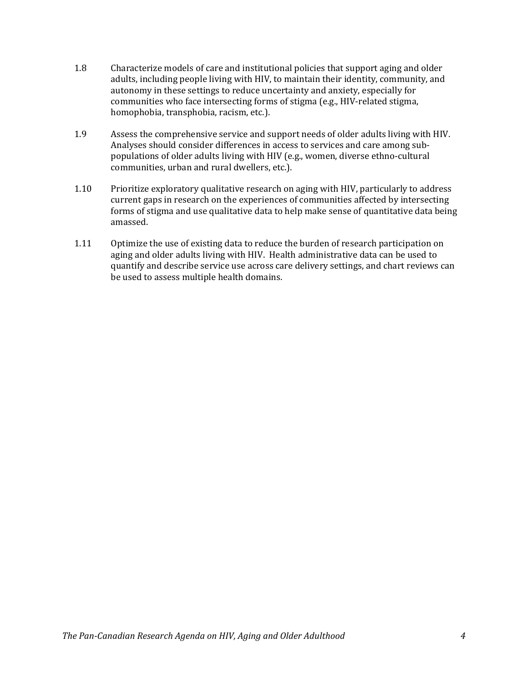- 1.8 Characterize models of care and institutional policies that support aging and older adults, including people living with HIV, to maintain their identity, community, and autonomy in these settings to reduce uncertainty and anxiety, especially for communities who face intersecting forms of stigma (e.g., HIV-related stigma, homophobia, transphobia, racism, etc.).
- 1.9 Assess the comprehensive service and support needs of older adults living with HIV. Analyses should consider differences in access to services and care among subpopulations of older adults living with HIV (e.g., women, diverse ethno-cultural communities, urban and rural dwellers, etc.).
- 1.10 Prioritize exploratory qualitative research on aging with HIV, particularly to address current gaps in research on the experiences of communities affected by intersecting forms of stigma and use qualitative data to help make sense of quantitative data being amassed.
- 1.11 Optimize the use of existing data to reduce the burden of research participation on aging and older adults living with HIV. Health administrative data can be used to quantify and describe service use across care delivery settings, and chart reviews can be used to assess multiple health domains.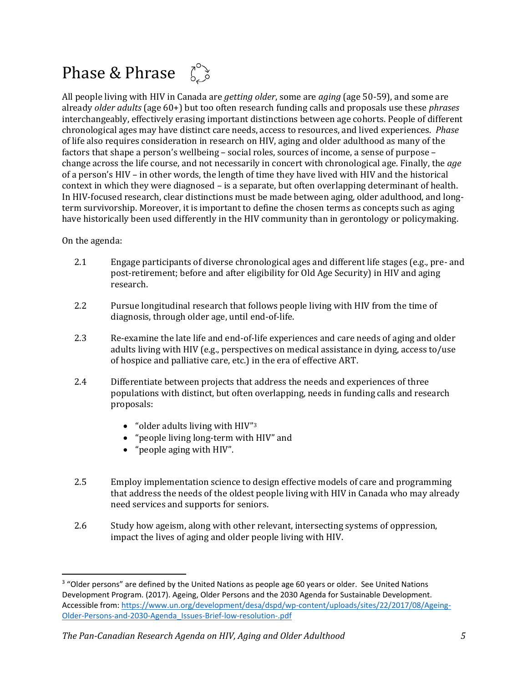### Phase & Phrase  $\int_{a}^{b}$

All people living with HIV in Canada are *getting older*, some are *aging* (age 50-59), and some are already *older adults* (age 60+) but too often research funding calls and proposals use these *phrases* interchangeably, effectively erasing important distinctions between age cohorts. People of different chronological ages may have distinct care needs, access to resources, and lived experiences. *Phase* of life also requires consideration in research on HIV, aging and older adulthood as many of the factors that shape a person's wellbeing – social roles, sources of income, a sense of purpose – change across the life course, and not necessarily in concert with chronological age. Finally, the *age* of a person's HIV – in other words, the length of time they have lived with HIV and the historical context in which they were diagnosed – is a separate, but often overlapping determinant of health. In HIV-focused research, clear distinctions must be made between aging, older adulthood, and longterm survivorship. Moreover, it is important to define the chosen terms as concepts such as aging have historically been used differently in the HIV community than in gerontology or policymaking.

- 2.1 Engage participants of diverse chronological ages and different life stages (e.g., pre- and post-retirement; before and after eligibility for Old Age Security) in HIV and aging research.
- 2.2 Pursue longitudinal research that follows people living with HIV from the time of diagnosis, through older age, until end-of-life.
- 2.3 Re-examine the late life and end-of-life experiences and care needs of aging and older adults living with HIV (e.g., perspectives on medical assistance in dying, access to/use of hospice and palliative care, etc.) in the era of effective ART.
- 2.4 Differentiate between projects that address the needs and experiences of three populations with distinct, but often overlapping, needs in funding calls and research proposals:
	- "older adults living with HIV"<sup>3</sup>
	- "people living long-term with HIV" and
	- "people aging with HIV".
- 2.5 Employ implementation science to design effective models of care and programming that address the needs of the oldest people living with HIV in Canada who may already need services and supports for seniors.
- 2.6 Study how ageism, along with other relevant, intersecting systems of oppression, impact the lives of aging and older people living with HIV.

<sup>&</sup>lt;sup>3</sup> "Older persons" are defined by the United Nations as people age 60 years or older. See United Nations Development Program. (2017). Ageing, Older Persons and the 2030 Agenda for Sustainable Development. Accessible from: [https://www.un.org/development/desa/dspd/wp-content/uploads/sites/22/2017/08/Ageing-](https://www.un.org/development/desa/dspd/wp-content/uploads/sites/22/2017/08/Ageing-Older-Persons-and-2030-Agenda_Issues-Brief-low-resolution-.pdf)[Older-Persons-and-2030-Agenda\\_Issues-Brief-low-resolution-.pdf](https://www.un.org/development/desa/dspd/wp-content/uploads/sites/22/2017/08/Ageing-Older-Persons-and-2030-Agenda_Issues-Brief-low-resolution-.pdf)

*The Pan-Canadian Research Agenda on HIV, Aging and Older Adulthood 5*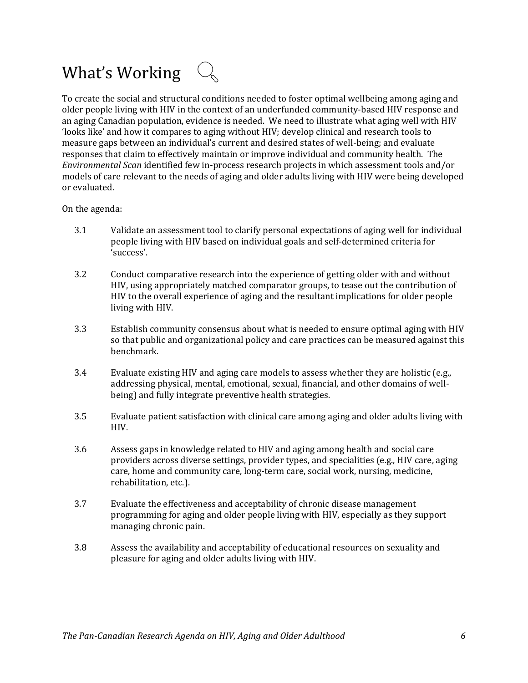### What's Working  $\mathbb{Q}$

To create the social and structural conditions needed to foster optimal wellbeing among aging and older people living with HIV in the context of an underfunded community-based HIV response and an aging Canadian population, evidence is needed. We need to illustrate what aging well with HIV 'looks like' and how it compares to aging without HIV; develop clinical and research tools to measure gaps between an individual's current and desired states of well-being; and evaluate responses that claim to effectively maintain or improve individual and community health. The *Environmental Scan* identified few in-process research projects in which assessment tools and/or models of care relevant to the needs of aging and older adults living with HIV were being developed or evaluated.

- 3.1 Validate an assessment tool to clarify personal expectations of aging well for individual people living with HIV based on individual goals and self-determined criteria for 'success'.
- 3.2 Conduct comparative research into the experience of getting older with and without HIV, using appropriately matched comparator groups, to tease out the contribution of HIV to the overall experience of aging and the resultant implications for older people living with HIV.
- 3.3 Establish community consensus about what is needed to ensure optimal aging with HIV so that public and organizational policy and care practices can be measured against this benchmark.
- 3.4 Evaluate existing HIV and aging care models to assess whether they are holistic (e.g., addressing physical, mental, emotional, sexual, financial, and other domains of wellbeing) and fully integrate preventive health strategies.
- 3.5 Evaluate patient satisfaction with clinical care among aging and older adults living with HIV.
- 3.6 Assess gaps in knowledge related to HIV and aging among health and social care providers across diverse settings, provider types, and specialities (e.g., HIV care, aging care, home and community care, long-term care, social work, nursing, medicine, rehabilitation, etc.).
- 3.7 Evaluate the effectiveness and acceptability of chronic disease management programming for aging and older people living with HIV, especially as they support managing chronic pain.
- 3.8 Assess the availability and acceptability of educational resources on sexuality and pleasure for aging and older adults living with HIV.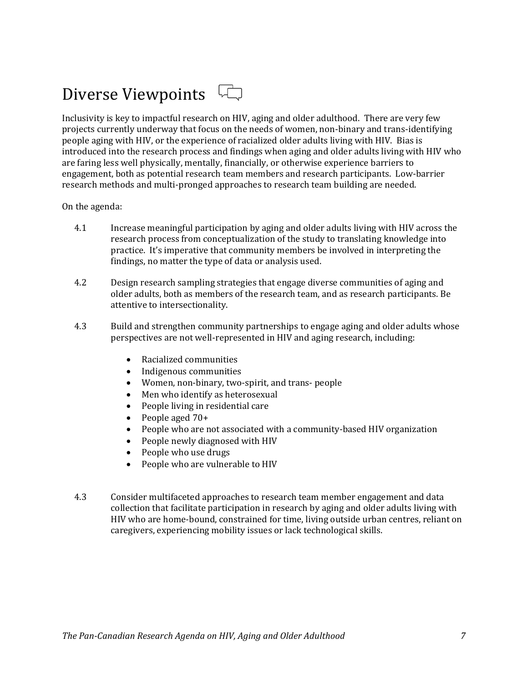## Diverse Viewpoints

Inclusivity is key to impactful research on HIV, aging and older adulthood. There are very few projects currently underway that focus on the needs of women, non-binary and trans-identifying people aging with HIV, or the experience of racialized older adults living with HIV. Bias is introduced into the research process and findings when aging and older adults living with HIV who are faring less well physically, mentally, financially, or otherwise experience barriers to engagement, both as potential research team members and research participants. Low-barrier research methods and multi-pronged approaches to research team building are needed.

- 4.1 Increase meaningful participation by aging and older adults living with HIV across the research process from conceptualization of the study to translating knowledge into practice. It's imperative that community members be involved in interpreting the findings, no matter the type of data or analysis used.
- 4.2 Design research sampling strategies that engage diverse communities of aging and older adults, both as members of the research team, and as research participants. Be attentive to intersectionality.
- 4.3 Build and strengthen community partnerships to engage aging and older adults whose perspectives are not well-represented in HIV and aging research, including:
	- Racialized communities
	- Indigenous communities
	- Women, non-binary, two-spirit, and trans- people
	- Men who identify as heterosexual
	- People living in residential care
	- People aged 70+
	- People who are not associated with a community-based HIV organization
	- People newly diagnosed with HIV
	- People who use drugs
	- People who are vulnerable to HIV
- 4.3 Consider multifaceted approaches to research team member engagement and data collection that facilitate participation in research by aging and older adults living with HIV who are home-bound, constrained for time, living outside urban centres, reliant on caregivers, experiencing mobility issues or lack technological skills.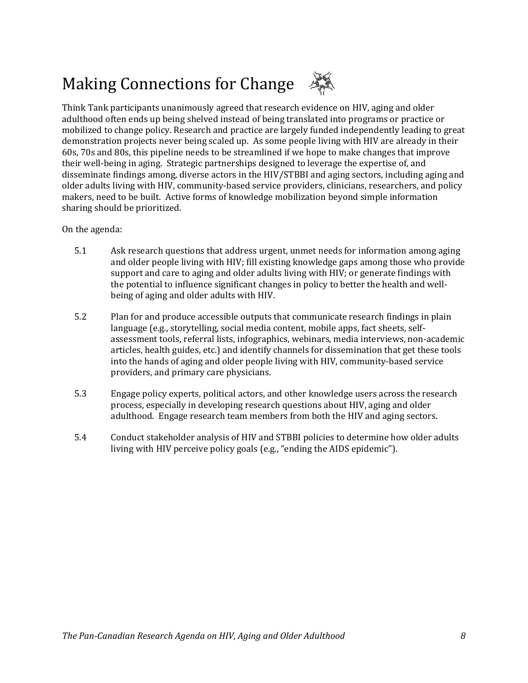# Making Connections for Change

Think Tank participants unanimously agreed that research evidence on HIV, aging and older adulthood often ends up being shelved instead of being translated into programs or practice or mobilized to change policy. Research and practice are largely funded independently leading to great demonstration projects never being scaled up. As some people living with HIV are already in their 60s, 70s and 80s, this pipeline needs to be streamlined if we hope to make changes that improve their well-being in aging. Strategic partnerships designed to leverage the expertise of, and disseminate findings among, diverse actors in the HIV/STBBI and aging sectors, including aging and older adults living with HIV, community-based service providers, clinicians, researchers, and policy makers, need to be built. Active forms of knowledge mobilization beyond simple information sharing should be prioritized.

- 5.1 Ask research questions that address urgent, unmet needs for information among aging and older people living with HIV; fill existing knowledge gaps among those who provide support and care to aging and older adults living with HIV; or generate findings with the potential to influence significant changes in policy to better the health and wellbeing of aging and older adults with HIV.
- 5.2 Plan for and produce accessible outputs that communicate research findings in plain language (e.g., storytelling, social media content, mobile apps, fact sheets, selfassessment tools, referral lists, infographics, webinars, media interviews, non-academic articles, health guides, etc.) and identify channels for dissemination that get these tools into the hands of aging and older people living with HIV, community-based service providers, and primary care physicians.
- 5.3 Engage policy experts, political actors, and other knowledge users across the research process, especially in developing research questions about HIV, aging and older adulthood. Engage research team members from both the HIV and aging sectors.
- 5.4 Conduct stakeholder analysis of HIV and STBBI policies to determine how older adults living with HIV perceive policy goals (e.g., "ending the AIDS epidemic").